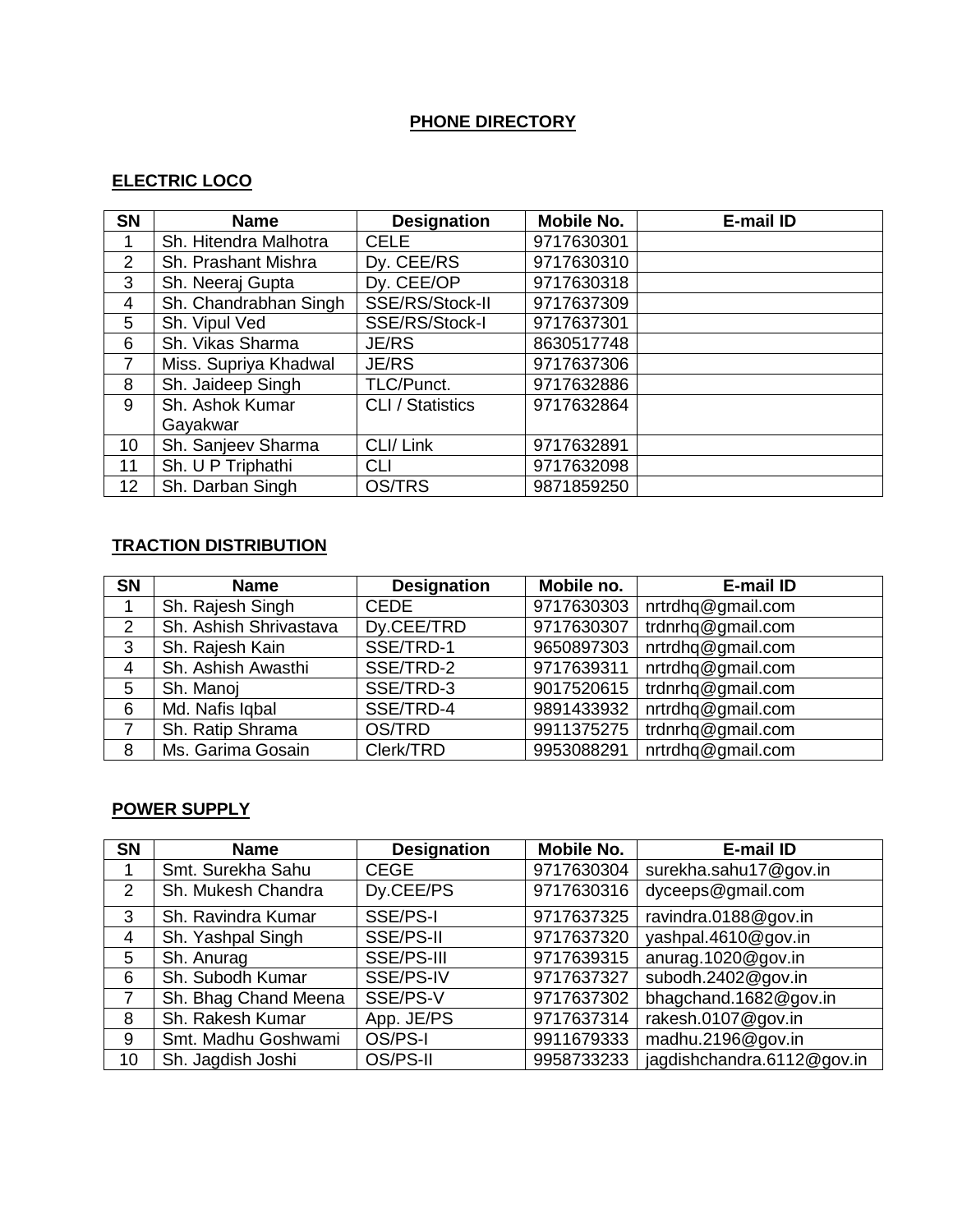### **PHONE DIRECTORY**

# **ELECTRIC LOCO**

| <b>SN</b> | <b>Name</b>           | <b>Designation</b>      | <b>Mobile No.</b> | E-mail ID |
|-----------|-----------------------|-------------------------|-------------------|-----------|
| 1         | Sh. Hitendra Malhotra | <b>CELE</b>             | 9717630301        |           |
| 2         | Sh. Prashant Mishra   | Dy. CEE/RS              | 9717630310        |           |
| 3         | Sh. Neeraj Gupta      | Dy. CEE/OP              | 9717630318        |           |
| 4         | Sh. Chandrabhan Singh | SSE/RS/Stock-II         | 9717637309        |           |
| 5         | Sh. Vipul Ved         | SSE/RS/Stock-I          | 9717637301        |           |
| 6         | Sh. Vikas Sharma      | <b>JE/RS</b>            | 8630517748        |           |
| 7         | Miss. Supriya Khadwal | <b>JE/RS</b>            | 9717637306        |           |
| 8         | Sh. Jaideep Singh     | TLC/Punct.              | 9717632886        |           |
| 9         | Sh. Ashok Kumar       | <b>CLI</b> / Statistics | 9717632864        |           |
|           | Gayakwar              |                         |                   |           |
| 10        | Sh. Sanjeev Sharma    | CLI/ Link               | 9717632891        |           |
| 11        | Sh. U P Triphathi     | <b>CLI</b>              | 9717632098        |           |
| 12        | Sh. Darban Singh      | <b>OS/TRS</b>           | 9871859250        |           |

# **TRACTION DISTRIBUTION**

| <b>SN</b> | <b>Name</b>            | <b>Designation</b> | Mobile no. | E-mail ID         |
|-----------|------------------------|--------------------|------------|-------------------|
|           | Sh. Rajesh Singh       | <b>CEDE</b>        | 9717630303 | nrtrdhq@gmail.com |
| 2         | Sh. Ashish Shrivastava | Dy.CEE/TRD         | 9717630307 | trdnrhq@gmail.com |
| 3         | Sh. Rajesh Kain        | SSE/TRD-1          | 9650897303 | nrtrdhq@gmail.com |
| 4         | Sh. Ashish Awasthi     | SSE/TRD-2          | 9717639311 | nrtrdhq@gmail.com |
| 5         | Sh. Manoi              | SSE/TRD-3          | 9017520615 | trdnrhq@gmail.com |
| 6         | Md. Nafis Iqbal        | SSE/TRD-4          | 9891433932 | nrtrdhq@gmail.com |
|           | Sh. Ratip Shrama       | OS/TRD             | 9911375275 | trdnrhq@gmail.com |
| 8         | Ms. Garima Gosain      | Clerk/TRD          | 9953088291 | nrtrdhq@gmail.com |

# **POWER SUPPLY**

| <b>SN</b>      | <b>Name</b>          | <b>Designation</b> | <b>Mobile No.</b> | E-mail ID                  |
|----------------|----------------------|--------------------|-------------------|----------------------------|
|                | Smt. Surekha Sahu    | <b>CEGE</b>        | 9717630304        | surekha.sahu17@gov.in      |
| $\overline{2}$ | Sh. Mukesh Chandra   | Dy.CEE/PS          | 9717630316        | dyceeps@gmail.com          |
| 3              | Sh. Ravindra Kumar   | SSE/PS-I           | 9717637325        | ravindra.0188@gov.in       |
| 4              | Sh. Yashpal Singh    | SSE/PS-II          | 9717637320        | yashpal.4610@gov.in        |
| 5              | Sh. Anurag           | SSE/PS-III         | 9717639315        | anurag.1020@gov.in         |
| 6              | Sh. Subodh Kumar     | SSE/PS-IV          | 9717637327        | subodh.2402@gov.in         |
|                | Sh. Bhag Chand Meena | SSE/PS-V           | 9717637302        | bhagchand.1682@gov.in      |
| 8              | Sh. Rakesh Kumar     | App. JE/PS         | 9717637314        | rakesh.0107@gov.in         |
| 9              | Smt. Madhu Goshwami  | OS/PS-I            | 9911679333        | madhu.2196@gov.in          |
| 10             | Sh. Jagdish Joshi    | OS/PS-II           | 9958733233        | jagdishchandra.6112@gov.in |